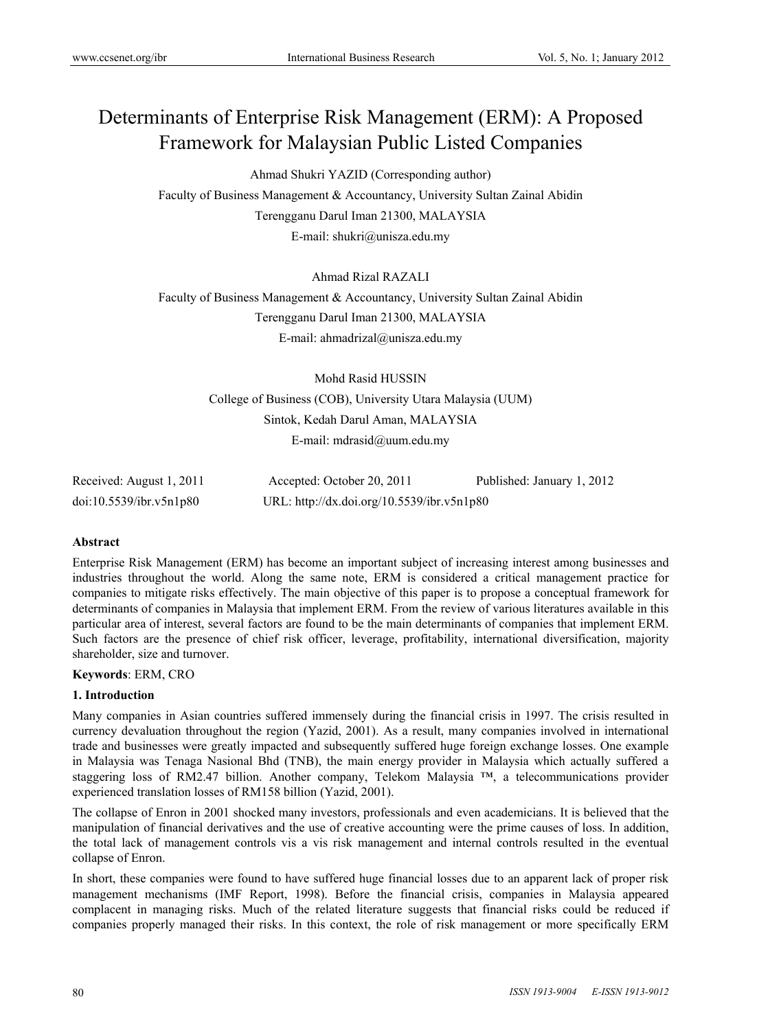# Determinants of Enterprise Risk Management (ERM): A Proposed Framework for Malaysian Public Listed Companies

Ahmad Shukri YAZID (Corresponding author)

Faculty of Business Management & Accountancy, University Sultan Zainal Abidin Terengganu Darul Iman 21300, MALAYSIA E-mail: shukri@unisza.edu.my

Ahmad Rizal RAZALI

Faculty of Business Management & Accountancy, University Sultan Zainal Abidin Terengganu Darul Iman 21300, MALAYSIA E-mail: ahmadrizal@unisza.edu.my

> Mohd Rasid HUSSIN College of Business (COB), University Utara Malaysia (UUM) Sintok, Kedah Darul Aman, MALAYSIA E-mail: mdrasid@uum.edu.my

| Received: August 1, 2011 | Accepted: October 20, 2011                 | Published: January 1, 2012 |
|--------------------------|--------------------------------------------|----------------------------|
| doi:10.5539/ibr.v5n1p80  | URL: http://dx.doi.org/10.5539/ibr.v5n1p80 |                            |

## **Abstract**

Enterprise Risk Management (ERM) has become an important subject of increasing interest among businesses and industries throughout the world. Along the same note, ERM is considered a critical management practice for companies to mitigate risks effectively. The main objective of this paper is to propose a conceptual framework for determinants of companies in Malaysia that implement ERM. From the review of various literatures available in this particular area of interest, several factors are found to be the main determinants of companies that implement ERM. Such factors are the presence of chief risk officer, leverage, profitability, international diversification, majority shareholder, size and turnover.

## **Keywords**: ERM, CRO

# **1. Introduction**

Many companies in Asian countries suffered immensely during the financial crisis in 1997. The crisis resulted in currency devaluation throughout the region (Yazid, 2001). As a result, many companies involved in international trade and businesses were greatly impacted and subsequently suffered huge foreign exchange losses. One example in Malaysia was Tenaga Nasional Bhd (TNB), the main energy provider in Malaysia which actually suffered a staggering loss of RM2.47 billion. Another company, Telekom Malaysia ™, a telecommunications provider experienced translation losses of RM158 billion (Yazid, 2001).

The collapse of Enron in 2001 shocked many investors, professionals and even academicians. It is believed that the manipulation of financial derivatives and the use of creative accounting were the prime causes of loss. In addition, the total lack of management controls vis a vis risk management and internal controls resulted in the eventual collapse of Enron.

In short, these companies were found to have suffered huge financial losses due to an apparent lack of proper risk management mechanisms (IMF Report, 1998). Before the financial crisis, companies in Malaysia appeared complacent in managing risks. Much of the related literature suggests that financial risks could be reduced if companies properly managed their risks. In this context, the role of risk management or more specifically ERM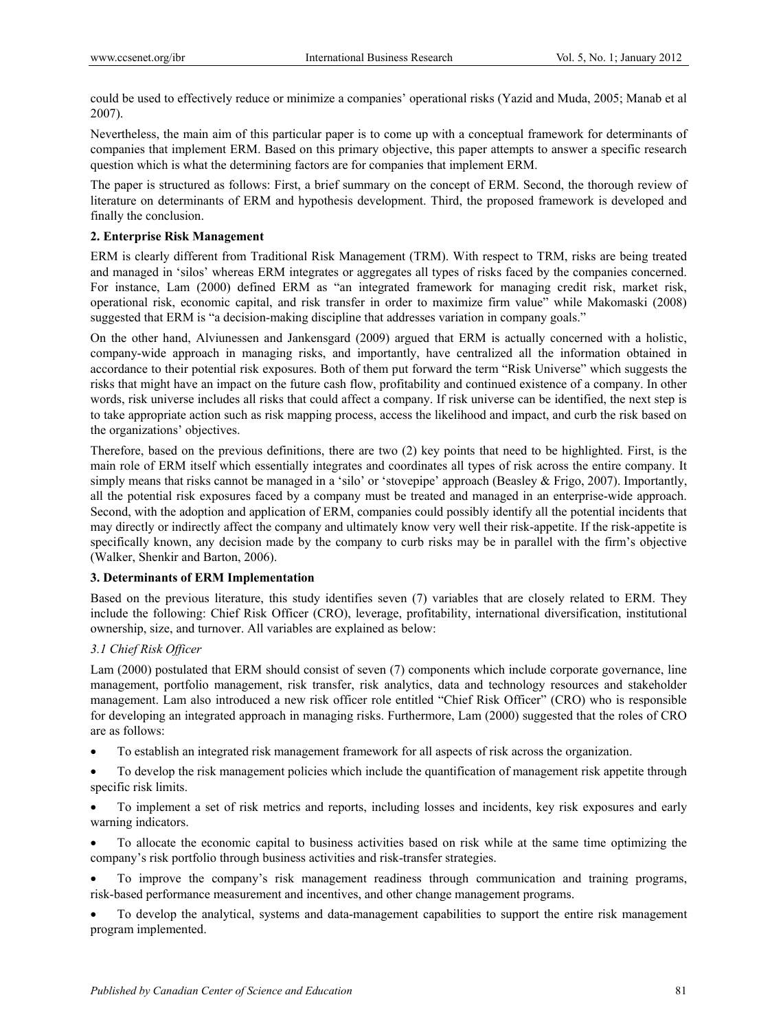could be used to effectively reduce or minimize a companies' operational risks (Yazid and Muda, 2005; Manab et al 2007).

Nevertheless, the main aim of this particular paper is to come up with a conceptual framework for determinants of companies that implement ERM. Based on this primary objective, this paper attempts to answer a specific research question which is what the determining factors are for companies that implement ERM.

The paper is structured as follows: First, a brief summary on the concept of ERM. Second, the thorough review of literature on determinants of ERM and hypothesis development. Third, the proposed framework is developed and finally the conclusion.

## **2. Enterprise Risk Management**

ERM is clearly different from Traditional Risk Management (TRM). With respect to TRM, risks are being treated and managed in 'silos' whereas ERM integrates or aggregates all types of risks faced by the companies concerned. For instance, Lam (2000) defined ERM as "an integrated framework for managing credit risk, market risk, operational risk, economic capital, and risk transfer in order to maximize firm value" while Makomaski (2008) suggested that ERM is "a decision-making discipline that addresses variation in company goals."

On the other hand, Alviunessen and Jankensgard (2009) argued that ERM is actually concerned with a holistic, company-wide approach in managing risks, and importantly, have centralized all the information obtained in accordance to their potential risk exposures. Both of them put forward the term "Risk Universe" which suggests the risks that might have an impact on the future cash flow, profitability and continued existence of a company. In other words, risk universe includes all risks that could affect a company. If risk universe can be identified, the next step is to take appropriate action such as risk mapping process, access the likelihood and impact, and curb the risk based on the organizations' objectives.

Therefore, based on the previous definitions, there are two (2) key points that need to be highlighted. First, is the main role of ERM itself which essentially integrates and coordinates all types of risk across the entire company. It simply means that risks cannot be managed in a 'silo' or 'stovepipe' approach (Beasley & Frigo, 2007). Importantly, all the potential risk exposures faced by a company must be treated and managed in an enterprise-wide approach. Second, with the adoption and application of ERM, companies could possibly identify all the potential incidents that may directly or indirectly affect the company and ultimately know very well their risk-appetite. If the risk-appetite is specifically known, any decision made by the company to curb risks may be in parallel with the firm's objective (Walker, Shenkir and Barton, 2006).

## **3. Determinants of ERM Implementation**

Based on the previous literature, this study identifies seven (7) variables that are closely related to ERM. They include the following: Chief Risk Officer (CRO), leverage, profitability, international diversification, institutional ownership, size, and turnover. All variables are explained as below:

## *3.1 Chief Risk Officer*

Lam (2000) postulated that ERM should consist of seven (7) components which include corporate governance, line management, portfolio management, risk transfer, risk analytics, data and technology resources and stakeholder management. Lam also introduced a new risk officer role entitled "Chief Risk Officer" (CRO) who is responsible for developing an integrated approach in managing risks. Furthermore, Lam (2000) suggested that the roles of CRO are as follows:

To establish an integrated risk management framework for all aspects of risk across the organization.

 To develop the risk management policies which include the quantification of management risk appetite through specific risk limits.

 To implement a set of risk metrics and reports, including losses and incidents, key risk exposures and early warning indicators.

 To allocate the economic capital to business activities based on risk while at the same time optimizing the company's risk portfolio through business activities and risk-transfer strategies.

 To improve the company's risk management readiness through communication and training programs, risk-based performance measurement and incentives, and other change management programs.

 To develop the analytical, systems and data-management capabilities to support the entire risk management program implemented.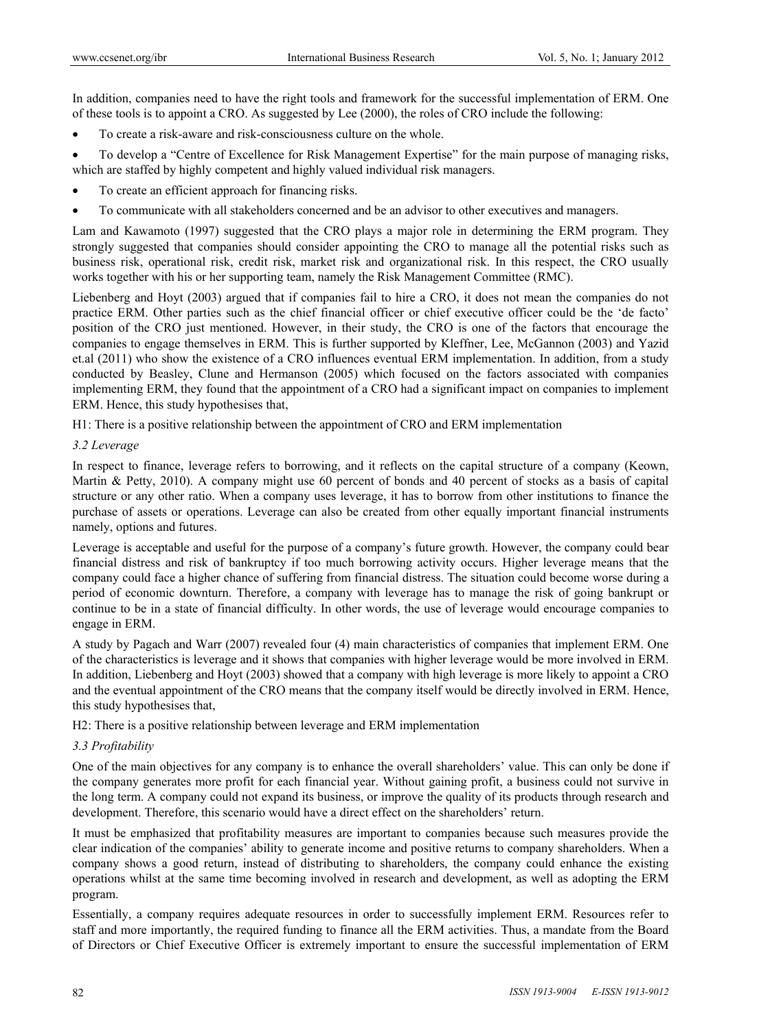In addition, companies need to have the right tools and framework for the successful implementation of ERM. One of these tools is to appoint a CRO. As suggested by Lee (2000), the roles of CRO include the following:

- To create a risk-aware and risk-consciousness culture on the whole.
- To develop a "Centre of Excellence for Risk Management Expertise" for the main purpose of managing risks, which are staffed by highly competent and highly valued individual risk managers.
- To create an efficient approach for financing risks.
- To communicate with all stakeholders concerned and be an advisor to other executives and managers.

Lam and Kawamoto (1997) suggested that the CRO plays a major role in determining the ERM program. They strongly suggested that companies should consider appointing the CRO to manage all the potential risks such as business risk, operational risk, credit risk, market risk and organizational risk. In this respect, the CRO usually works together with his or her supporting team, namely the Risk Management Committee (RMC).

Liebenberg and Hoyt (2003) argued that if companies fail to hire a CRO, it does not mean the companies do not practice ERM. Other parties such as the chief financial officer or chief executive officer could be the 'de facto' position of the CRO just mentioned. However, in their study, the CRO is one of the factors that encourage the companies to engage themselves in ERM. This is further supported by Kleffner, Lee, McGannon (2003) and Yazid et.al (2011) who show the existence of a CRO influences eventual ERM implementation. In addition, from a study conducted by Beasley, Clune and Hermanson (2005) which focused on the factors associated with companies implementing ERM, they found that the appointment of a CRO had a significant impact on companies to implement ERM. Hence, this study hypothesises that,

H1: There is a positive relationship between the appointment of CRO and ERM implementation

## *3.2 Leverage*

In respect to finance, leverage refers to borrowing, and it reflects on the capital structure of a company (Keown, Martin & Petty, 2010). A company might use 60 percent of bonds and 40 percent of stocks as a basis of capital structure or any other ratio. When a company uses leverage, it has to borrow from other institutions to finance the purchase of assets or operations. Leverage can also be created from other equally important financial instruments namely, options and futures.

Leverage is acceptable and useful for the purpose of a company's future growth. However, the company could bear financial distress and risk of bankruptcy if too much borrowing activity occurs. Higher leverage means that the company could face a higher chance of suffering from financial distress. The situation could become worse during a period of economic downturn. Therefore, a company with leverage has to manage the risk of going bankrupt or continue to be in a state of financial difficulty. In other words, the use of leverage would encourage companies to engage in ERM.

A study by Pagach and Warr (2007) revealed four (4) main characteristics of companies that implement ERM. One of the characteristics is leverage and it shows that companies with higher leverage would be more involved in ERM. In addition, Liebenberg and Hoyt (2003) showed that a company with high leverage is more likely to appoint a CRO and the eventual appointment of the CRO means that the company itself would be directly involved in ERM. Hence, this study hypothesises that,

H2: There is a positive relationship between leverage and ERM implementation

# *3.3 Profitability*

One of the main objectives for any company is to enhance the overall shareholders' value. This can only be done if the company generates more profit for each financial year. Without gaining profit, a business could not survive in the long term. A company could not expand its business, or improve the quality of its products through research and development. Therefore, this scenario would have a direct effect on the shareholders' return.

It must be emphasized that profitability measures are important to companies because such measures provide the clear indication of the companies' ability to generate income and positive returns to company shareholders. When a company shows a good return, instead of distributing to shareholders, the company could enhance the existing operations whilst at the same time becoming involved in research and development, as well as adopting the ERM program.

Essentially, a company requires adequate resources in order to successfully implement ERM. Resources refer to staff and more importantly, the required funding to finance all the ERM activities. Thus, a mandate from the Board of Directors or Chief Executive Officer is extremely important to ensure the successful implementation of ERM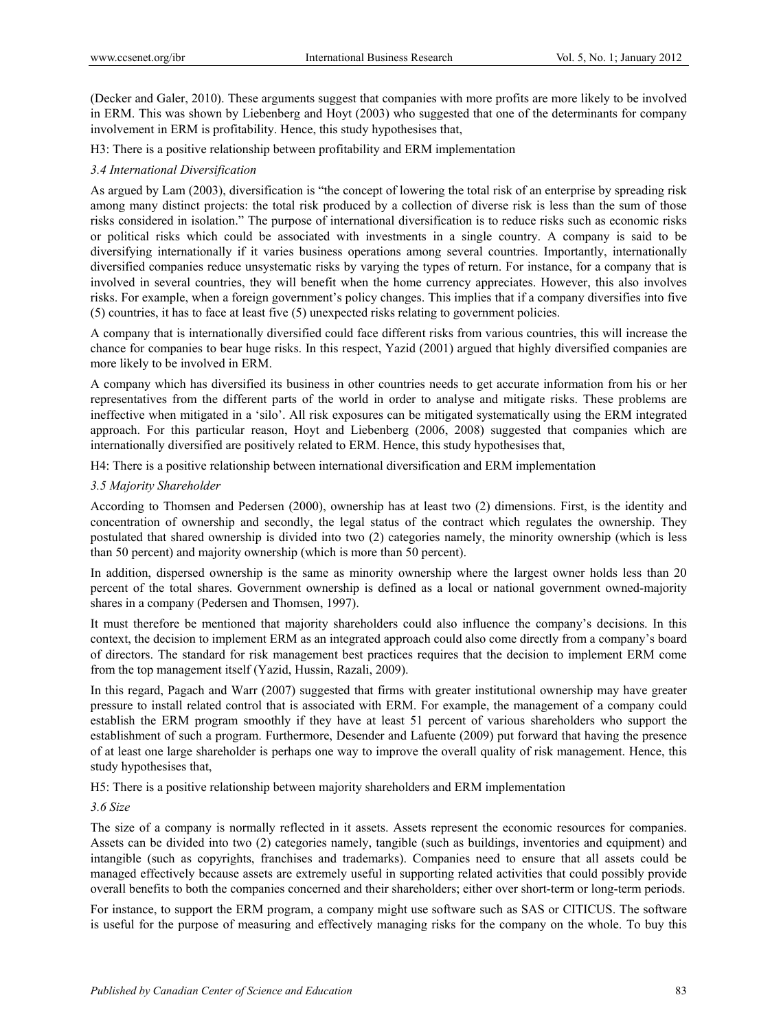(Decker and Galer, 2010). These arguments suggest that companies with more profits are more likely to be involved in ERM. This was shown by Liebenberg and Hoyt (2003) who suggested that one of the determinants for company involvement in ERM is profitability. Hence, this study hypothesises that,

H3: There is a positive relationship between profitability and ERM implementation

## *3.4 International Diversification*

As argued by Lam (2003), diversification is "the concept of lowering the total risk of an enterprise by spreading risk among many distinct projects: the total risk produced by a collection of diverse risk is less than the sum of those risks considered in isolation." The purpose of international diversification is to reduce risks such as economic risks or political risks which could be associated with investments in a single country. A company is said to be diversifying internationally if it varies business operations among several countries. Importantly, internationally diversified companies reduce unsystematic risks by varying the types of return. For instance, for a company that is involved in several countries, they will benefit when the home currency appreciates. However, this also involves risks. For example, when a foreign government's policy changes. This implies that if a company diversifies into five (5) countries, it has to face at least five (5) unexpected risks relating to government policies.

A company that is internationally diversified could face different risks from various countries, this will increase the chance for companies to bear huge risks. In this respect, Yazid (2001) argued that highly diversified companies are more likely to be involved in ERM.

A company which has diversified its business in other countries needs to get accurate information from his or her representatives from the different parts of the world in order to analyse and mitigate risks. These problems are ineffective when mitigated in a 'silo'. All risk exposures can be mitigated systematically using the ERM integrated approach. For this particular reason, Hoyt and Liebenberg (2006, 2008) suggested that companies which are internationally diversified are positively related to ERM. Hence, this study hypothesises that,

H4: There is a positive relationship between international diversification and ERM implementation

## *3.5 Majority Shareholder*

According to Thomsen and Pedersen (2000), ownership has at least two (2) dimensions. First, is the identity and concentration of ownership and secondly, the legal status of the contract which regulates the ownership. They postulated that shared ownership is divided into two (2) categories namely, the minority ownership (which is less than 50 percent) and majority ownership (which is more than 50 percent).

In addition, dispersed ownership is the same as minority ownership where the largest owner holds less than 20 percent of the total shares. Government ownership is defined as a local or national government owned-majority shares in a company (Pedersen and Thomsen, 1997).

It must therefore be mentioned that majority shareholders could also influence the company's decisions. In this context, the decision to implement ERM as an integrated approach could also come directly from a company's board of directors. The standard for risk management best practices requires that the decision to implement ERM come from the top management itself (Yazid, Hussin, Razali, 2009).

In this regard, Pagach and Warr (2007) suggested that firms with greater institutional ownership may have greater pressure to install related control that is associated with ERM. For example, the management of a company could establish the ERM program smoothly if they have at least 51 percent of various shareholders who support the establishment of such a program. Furthermore, Desender and Lafuente (2009) put forward that having the presence of at least one large shareholder is perhaps one way to improve the overall quality of risk management. Hence, this study hypothesises that,

H5: There is a positive relationship between majority shareholders and ERM implementation

## *3.6 Size*

The size of a company is normally reflected in it assets. Assets represent the economic resources for companies. Assets can be divided into two (2) categories namely, tangible (such as buildings, inventories and equipment) and intangible (such as copyrights, franchises and trademarks). Companies need to ensure that all assets could be managed effectively because assets are extremely useful in supporting related activities that could possibly provide overall benefits to both the companies concerned and their shareholders; either over short-term or long-term periods.

For instance, to support the ERM program, a company might use software such as SAS or CITICUS. The software is useful for the purpose of measuring and effectively managing risks for the company on the whole. To buy this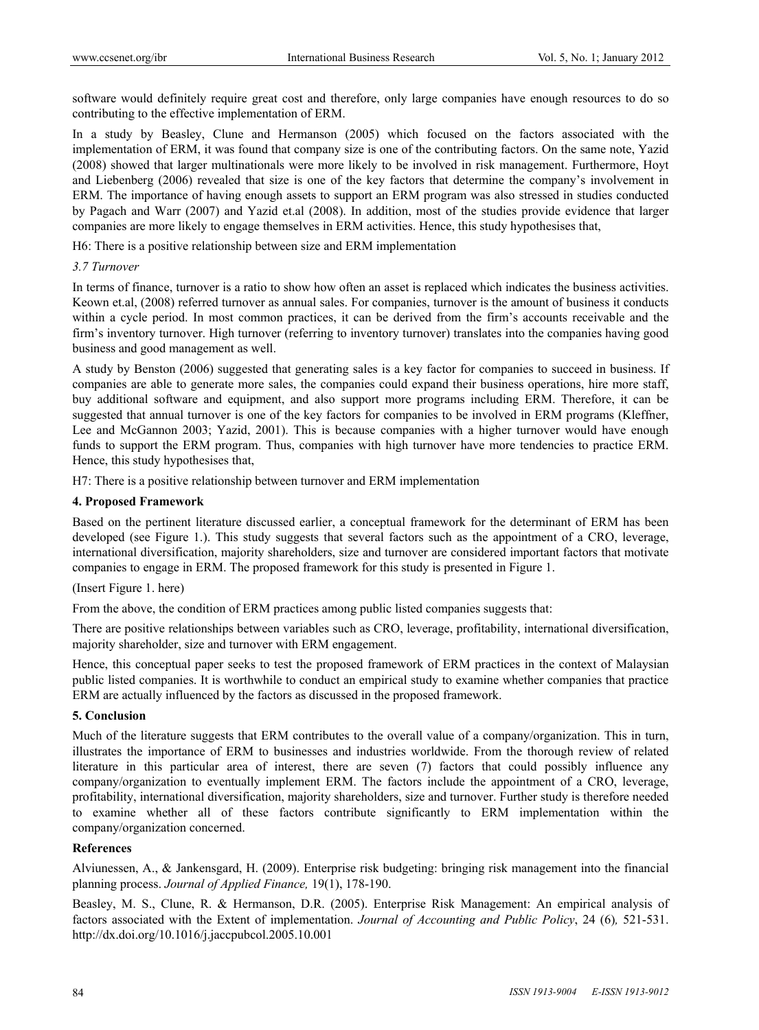software would definitely require great cost and therefore, only large companies have enough resources to do so contributing to the effective implementation of ERM.

In a study by Beasley, Clune and Hermanson (2005) which focused on the factors associated with the implementation of ERM, it was found that company size is one of the contributing factors. On the same note, Yazid (2008) showed that larger multinationals were more likely to be involved in risk management. Furthermore, Hoyt and Liebenberg (2006) revealed that size is one of the key factors that determine the company's involvement in ERM. The importance of having enough assets to support an ERM program was also stressed in studies conducted by Pagach and Warr (2007) and Yazid et.al (2008). In addition, most of the studies provide evidence that larger companies are more likely to engage themselves in ERM activities. Hence, this study hypothesises that,

H6: There is a positive relationship between size and ERM implementation

#### *3.7 Turnover*

In terms of finance, turnover is a ratio to show how often an asset is replaced which indicates the business activities. Keown et.al, (2008) referred turnover as annual sales. For companies, turnover is the amount of business it conducts within a cycle period. In most common practices, it can be derived from the firm's accounts receivable and the firm's inventory turnover. High turnover (referring to inventory turnover) translates into the companies having good business and good management as well.

A study by Benston (2006) suggested that generating sales is a key factor for companies to succeed in business. If companies are able to generate more sales, the companies could expand their business operations, hire more staff, buy additional software and equipment, and also support more programs including ERM. Therefore, it can be suggested that annual turnover is one of the key factors for companies to be involved in ERM programs (Kleffner, Lee and McGannon 2003; Yazid, 2001). This is because companies with a higher turnover would have enough funds to support the ERM program. Thus, companies with high turnover have more tendencies to practice ERM. Hence, this study hypothesises that,

H7: There is a positive relationship between turnover and ERM implementation

## **4. Proposed Framework**

Based on the pertinent literature discussed earlier, a conceptual framework for the determinant of ERM has been developed (see Figure 1.). This study suggests that several factors such as the appointment of a CRO, leverage, international diversification, majority shareholders, size and turnover are considered important factors that motivate companies to engage in ERM. The proposed framework for this study is presented in Figure 1.

## (Insert Figure 1. here)

From the above, the condition of ERM practices among public listed companies suggests that:

There are positive relationships between variables such as CRO, leverage, profitability, international diversification, majority shareholder, size and turnover with ERM engagement.

Hence, this conceptual paper seeks to test the proposed framework of ERM practices in the context of Malaysian public listed companies. It is worthwhile to conduct an empirical study to examine whether companies that practice ERM are actually influenced by the factors as discussed in the proposed framework.

#### **5. Conclusion**

Much of the literature suggests that ERM contributes to the overall value of a company/organization. This in turn, illustrates the importance of ERM to businesses and industries worldwide. From the thorough review of related literature in this particular area of interest, there are seven (7) factors that could possibly influence any company/organization to eventually implement ERM. The factors include the appointment of a CRO, leverage, profitability, international diversification, majority shareholders, size and turnover. Further study is therefore needed to examine whether all of these factors contribute significantly to ERM implementation within the company/organization concerned.

#### **References**

Alviunessen, A., & Jankensgard, H. (2009). Enterprise risk budgeting: bringing risk management into the financial planning process. *Journal of Applied Finance,* 19(1), 178-190.

Beasley, M. S., Clune, R. & Hermanson, D.R. (2005). Enterprise Risk Management: An empirical analysis of factors associated with the Extent of implementation. *Journal of Accounting and Public Policy*, 24 (6)*,* 521-531. http://dx.doi.org/10.1016/j.jaccpubcol.2005.10.001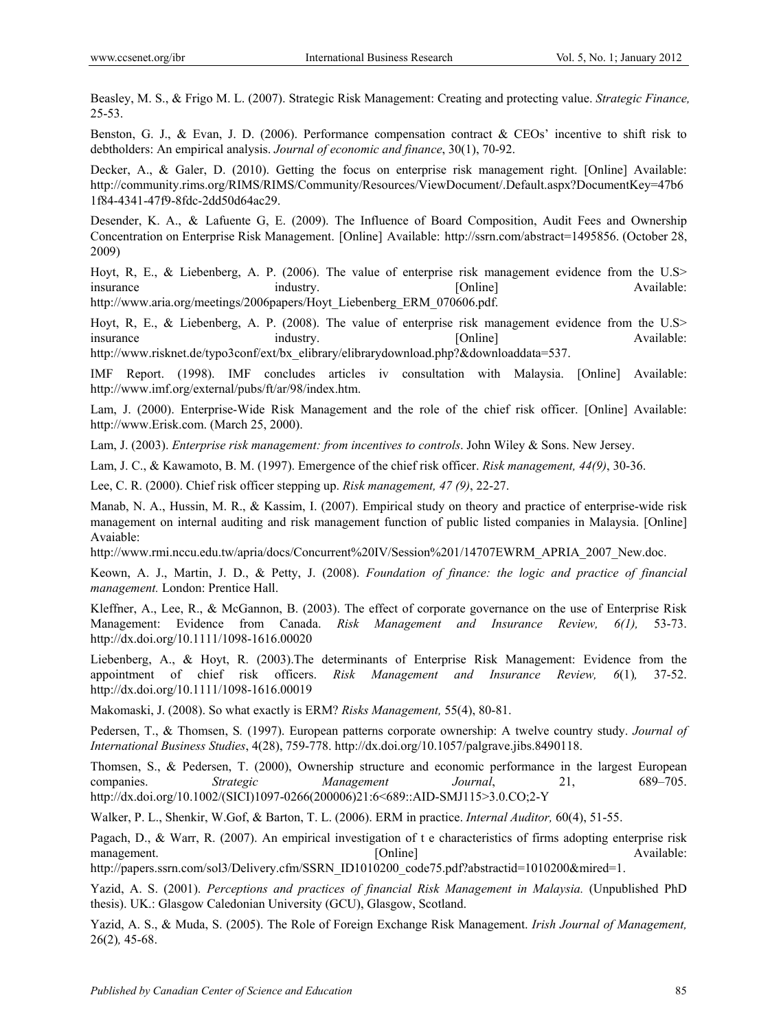Beasley, M. S., & Frigo M. L. (2007). Strategic Risk Management: Creating and protecting value. *Strategic Finance,*  25-53.

Benston, G. J., & Evan, J. D. (2006). Performance compensation contract & CEOs' incentive to shift risk to debtholders: An empirical analysis. *Journal of economic and finance*, 30(1), 70-92.

Decker, A., & Galer, D. (2010). Getting the focus on enterprise risk management right. [Online] Available: http://community.rims.org/RIMS/RIMS/Community/Resources/ViewDocument/.Default.aspx?DocumentKey=47b6 1f84-4341-47f9-8fdc-2dd50d64ac29.

Desender, K. A., & Lafuente G, E. (2009). The Influence of Board Composition, Audit Fees and Ownership Concentration on Enterprise Risk Management. [Online] Available: http://ssrn.com/abstract=1495856. (October 28, 2009)

Hoyt, R, E., & Liebenberg, A. P. (2006). The value of enterprise risk management evidence from the U.S> insurance industry. **industry.** [Online] Available: http://www.aria.org/meetings/2006papers/Hoyt\_Liebenberg\_ERM\_070606.pdf.

Hoyt, R, E., & Liebenberg, A. P. (2008). The value of enterprise risk management evidence from the U.S> insurance industry. **industry.** [Online] Available: http://www.risknet.de/typo3conf/ext/bx\_elibrary/elibrarydownload.php?&downloaddata=537.

IMF Report. (1998). IMF concludes articles iv consultation with Malaysia. [Online] Available: http://www.imf.org/external/pubs/ft/ar/98/index.htm.

Lam, J. (2000). Enterprise-Wide Risk Management and the role of the chief risk officer. [Online] Available: http://www.Erisk.com. (March 25, 2000).

Lam, J. (2003). *Enterprise risk management: from incentives to controls*. John Wiley & Sons. New Jersey.

Lam, J. C., & Kawamoto, B. M. (1997). Emergence of the chief risk officer. *Risk management, 44(9)*, 30-36.

Lee, C. R. (2000). Chief risk officer stepping up. *Risk management, 47 (9)*, 22-27.

Manab, N. A., Hussin, M. R., & Kassim, I. (2007). Empirical study on theory and practice of enterprise-wide risk management on internal auditing and risk management function of public listed companies in Malaysia. [Online] Avaiable:

http://www.rmi.nccu.edu.tw/apria/docs/Concurrent%20IV/Session%201/14707EWRM\_APRIA\_2007\_New.doc.

Keown, A. J., Martin, J. D., & Petty, J. (2008). *Foundation of finance: the logic and practice of financial management.* London: Prentice Hall.

Kleffner, A., Lee, R., & McGannon, B. (2003). The effect of corporate governance on the use of Enterprise Risk Management: Evidence from Canada. *Risk Management and Insurance Review, 6(1),* 53-73. http://dx.doi.org/10.1111/1098-1616.00020

Liebenberg, A., & Hoyt, R. (2003).The determinants of Enterprise Risk Management: Evidence from the appointment of chief risk officers. *Risk Management and Insurance Review, 6*(1)*,* 37-52. http://dx.doi.org/10.1111/1098-1616.00019

Makomaski, J. (2008). So what exactly is ERM? *Risks Management,* 55(4), 80-81.

Pedersen, T., & Thomsen, S*.* (1997). European patterns corporate ownership: A twelve country study. *Journal of International Business Studies*, 4(28), 759-778. http://dx.doi.org/10.1057/palgrave.jibs.8490118.

Thomsen, S., & Pedersen, T. (2000), Ownership structure and economic performance in the largest European companies. *Strategic Management Journal*, 21, 689–705. http://dx.doi.org/10.1002/(SICI)1097-0266(200006)21:6<689::AID-SMJ115>3.0.CO;2-Y

Walker, P. L., Shenkir, W.Gof, & Barton, T. L. (2006). ERM in practice. *Internal Auditor,* 60(4), 51-55.

Pagach, D., & Warr, R. (2007). An empirical investigation of t e characteristics of firms adopting enterprise risk management. Contact a contact a contact a contact a contact a contact a contact a contact a contact a contact a contact a contact a contact a contact a contact a contact a contact a contact a contact a contact a contact a http://papers.ssrn.com/sol3/Delivery.cfm/SSRN\_ID1010200\_code75.pdf?abstractid=1010200&mired=1.

Yazid, A. S. (2001). *Perceptions and practices of financial Risk Management in Malaysia.* (Unpublished PhD thesis). UK.: Glasgow Caledonian University (GCU), Glasgow, Scotland.

Yazid, A. S., & Muda, S. (2005). The Role of Foreign Exchange Risk Management. *Irish Journal of Management,*  26(2)*,* 45-68.